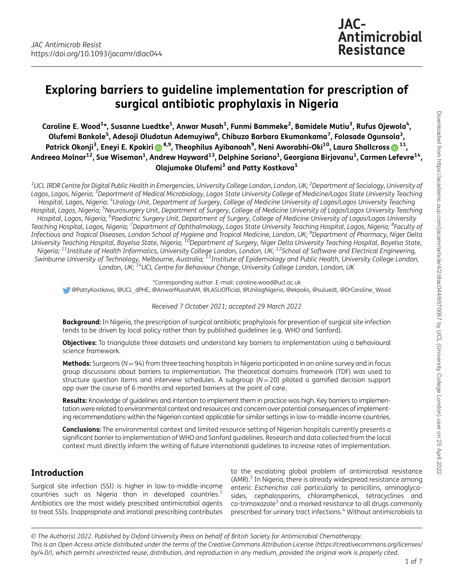# Exploring barriers to guideline implementation for prescription of surgical antibiotic prophylaxis in Nigeria

Caroline E. Wood $^{1*}$ , Susanne Luedtke $^{1}$ , Anwar Musah $^{1}$ , Funmi Bammeke $^{2}$ , Bamidele Mutiu $^{3}$ , Rufus Ojewola $^{4}$ , Olufemi Bankole<sup>5</sup>, Adesoji Oludotun Ademuyiwa<sup>6</sup>, Chibuzo Barbara Ekumankama<sup>7</sup>, Folasade Ogunsola<sup>3</sup>, Patrick Okonji<sup>3</sup>, Eneyi E. Kpokiri ������, Theophilus Ayibanoah<sup>9</sup>, Neni Aworabhi-Oki<sup>10</sup>, Laura Shallcross ��� <sup>11</sup>, Andreea Molnar $^{12}$ , Sue Wiseman $^{1}$ , Andrew Hayward $^{13}$ , Delphine Soriano $^{1}$ , Georgiana Birjovanu $^{1}$ , Carmen Lefevre $^{14}$ , Olajumoke Olufemi<sup>3</sup> and Patty Kostkova<sup>1</sup>

 $^{\rm 1}$ UCL IRDR Centre for Digital Public Health in Emergencies, University College London, London, UK; <sup>2</sup>Department of Sociology, University of Lagos, Lagos, Nigeria; <sup>3</sup>Department of Medical Microbiology, Lagos State University College of Medicine/Lagos State University Teaching Hospital, Lagos, Nigeria; <sup>4</sup>Urology Unit, Department of Surgery, College of Medicine University of Lagos/Lagos University Teaching Hospital, Lagos, Nigeria; <sup>5</sup>Neurosurgery Unit, Department of Surgery, College of Medicine University of Lagos/Lagos University Teaching Hospital, Lagos, Nigeria; <sup>6</sup>Paediatric Surgery Unit, Department of Surgery, College of Medicine University of Lagos/Lagos University Teaching Hospital, Lagos, Nigeria; <sup>7</sup>Department of Ophthalmology, Lagos State University Teaching Hospital, Lagos, Nigeria; <sup>8</sup>Faculty of Infectious and Tropical Diseases, London School of Hygiene and Tropical Medicine, London, UK; <sup>9</sup> Department of Pharmacy, Niger Delta University Teaching Hospital, Bayelsa State, Nigeria; <sup>10</sup>Department of Surgery, Niger Delta University Teaching Hospital, Bayelsa State, Nigeria; <sup>11</sup>Institute of Health Informatics, University College London, London, UK; <sup>12</sup>School of Software and Electrical Engineering, Swinburne University of Technology, Melbourne, Australia; <sup>13</sup>Institute of Epidemiology and Public Health, University College London, London, UK; <sup>14</sup>UCL Centre for Behaviour Change, University College London, London, UK

\*Corresponding author. E-mail: [caroline.wood@ucl.ac.uk](mailto:caroline.wood@ucl.ac.uk)

[@PattyKostkova](https://twitter.com/share/?text=@PattyKostkova), [@UCL\\_dPHE](https://twitter.com/share/?text=@UCL_dPHE), [@AnwarMusahAM,](https://twitter.com/share/?text=@AnwarMusahAM) [@LASUOf](https://twitter.com/share/?text=@LASUOfficial)ficial, [@UnilagNigeria](https://twitter.com/share/?text=@UnilagNigeria), [@ekpoks,](https://twitter.com/share/?text=@ekpoks) [@suluedt](https://twitter.com/share/?text=@suluedt), [@DrCaroline\\_Wood](https://twitter.com/share/?text=@DrCaroline_Wood)

Received 7 October 2021; accepted 29 March 2022

**Background:** In Nigeria, the prescription of surgical antibiotic prophylaxis for prevention of surgical site infection tends to be driven by local policy rather than by published guidelines (e.g. WHO and Sanford).

Objectives: To triangulate three datasets and understand key barriers to implementation using a behavioural science framework.

**Methods:** Surgeons ( $N=94$ ) from three teaching hospitals in Nigeria participated in an online survey and in focus group discussions about barriers to implementation. The theoretical domains framework (TDF) was used to structure question items and interview schedules. A subgroup  $(N=20)$  piloted a gamified decision support app over the course of 6 months and reported barriers at the point of care.

Results: Knowledge of quidelines and intention to implement them in practice was high. Key barriers to implementation were related to environmental context and resources and concern over potential consequences of implementing recommendations within the Nigerian context applicable for similar settings in low-to-middle-income countries.

Conclusions: The environmental context and limited resource setting of Nigerian hospitals currently presents a significant barrier to implementation of WHO and Sanford guidelines. Research and data collected from the local context must directly inform the writing of future international guidelines to increase rates of implementation.

# Introduction

<span id="page-0-0"></span>Surgical site infection (SSI) is higher in low-to-middle-income countries such as Nigeria than in developed countries.<sup>1</sup> Antibiotics are the most widely prescribed antimicrobial agents to treat SSIs. Inappropriate and irrational prescribing contributes <span id="page-0-3"></span><span id="page-0-2"></span><span id="page-0-1"></span>to the escalating global problem of antimicrobial resistance  $(AMR).<sup>2</sup>$  In Nigeria, there is already widespread resistance among enteric Escherichia coli particularly to penicillins, aminoglycosides, cephalosporins, chloramphenicol, tetracyclines and co-trimoxazole<sup>[3](#page-6-0)</sup> and a marked resistance to all drugs commonly prescribed for urinary tract infections.<sup>[4](#page-6-0)</sup> Without antimicrobials to

© The Author(s) 2022. Published by Oxford University Press on behalf of British Society for Antimicrobial Chemotherapy. This is an Open Access article distributed under the terms of the Creative Commons Attribution License [\(https://creativecommons.org/licenses/](https://creativecommons.org/licenses/by/4.0/) [by/4.0/\)](https://creativecommons.org/licenses/by/4.0/), which permits unrestricted reuse, distribution, and reproduction in any medium, provided the original work is properly cited.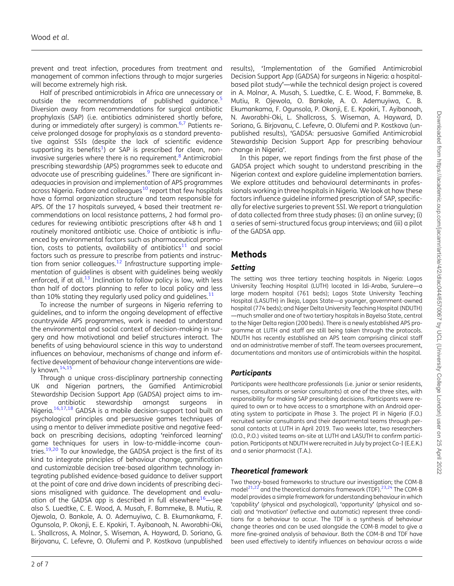prevent and treat infection, procedures from treatment and management of common infections through to major surgeries will become extremely high risk.

<span id="page-1-4"></span><span id="page-1-3"></span><span id="page-1-2"></span><span id="page-1-1"></span><span id="page-1-0"></span>Half of prescribed antimicrobials in Africa are unnecessary or outside the recommendations of published guidance.<sup>[5](#page-6-0)</sup> Diversion away from recommendations for surgical antibiotic prophylaxis (SAP) (i.e. antibiotics administered shortly before, during or immediately after surgery) is common.<sup>6,[7](#page-6-0)</sup> Patients receive prolonged dosage for prophylaxis as a standard preventative against SSIs (despite the lack of scientific evidence supporting its benefits<sup>1</sup>) or SAP is prescribed for clean, non-invasive surgeries where there is no requirement.<sup>[8](#page-6-0)</sup> Antimicrobial prescribing stewardship (APS) programmes seek to educate and advocate use of prescribing quidelines.<sup>[9](#page-6-0)</sup> There are significant inadequacies in provision and implementation of APS programmes across Nigeria. Fadare and colleagues<sup>[10](#page-6-0)</sup> report that few hospitals have a formal organization structure and team responsible for APS. Of the 17 hospitals surveyed, 4 based their treatment recommendations on local resistance patterns, 2 had formal procedures for reviewing antibiotic prescriptions after 48 h and 1 routinely monitored antibiotic use. Choice of antibiotic is influenced by environmental factors such as pharmaceutical promo-tion, costs to patients, availability of antibiotics<sup>[11](#page-6-0)</sup> and social factors such as pressure to prescribe from patients and instruction from senior colleagues. $12$  Infrastructure supporting implementation of guidelines is absent with guidelines being weakly enforced, if at all. $^{13}$  $^{13}$  $^{13}$  Inclination to follow policy is low, with less than half of doctors planning to refer to local policy and less than 10% stating they regularly used policy and guidelines. $^{11}$  $^{11}$  $^{11}$ 

<span id="page-1-7"></span><span id="page-1-6"></span><span id="page-1-5"></span>To increase the number of surgeons in Nigeria referring to guidelines, and to inform the ongoing development of effective countrywide APS programmes, work is needed to understand the environmental and social context of decision-making in surgery and how motivational and belief structures interact. The benefits of using behavioural science in this way to understand influences on behaviour, mechanisms of change and inform effective development of behaviour change interventions are wide-ly known.<sup>[14](#page-6-0),[15](#page-6-0)</sup>

<span id="page-1-11"></span><span id="page-1-10"></span><span id="page-1-9"></span><span id="page-1-8"></span>Through a unique cross-disciplinary partnership connecting UK and Nigerian partners, the Gamified Antimicrobial Stewardship Decision Support App (GADSA) project aims to improve antibiotic stewardship amongst surgeons in Nigeria.<sup>16,[17,18](#page-6-0)</sup> GADSA is a mobile decision-support tool built on psychological principles and persuasive games techniques of using a mentor to deliver immediate positive and negative feedback on prescribing decisions, adopting 'reinforced learning' game techniques for users in low-to-middle-income coun-tries.<sup>19,[20](#page-6-0)</sup> To our knowledge, the GADSA project is the first of its kind to integrate principles of behaviour change, gamification and customizable decision tree-based algorithm technology integrating published evidence-based guidance to deliver support at the point of care and drive down incidents of prescribing decisions misaligned with guidance. The development and evalu-ation of the GADSA app is described in full elsewhere<sup>[16](#page-6-0)</sup>—see also S. Luedtke, C. E. Wood, A. Musah, F. Bammeke, B. Mutiu, R. Ojewola, O. Bankole, A. O. Ademuyiwa, C. B. Ekumankama, F. Ogunsola, P. Okonji, E. E. Kpokiri, T. Ayibanoah, N. Aworabhi-Oki, L. Shallcross, A. Molnar, S. Wiseman, A. Hayward, D. Soriano, G. Birjovanu, C. Lefevre, O. Olufemi and P. Kostkova (unpublished

results), 'Implementation of the Gamified Antimicrobial Decision Support App (GADSA) for surgeons in Nigeria: a hospitalbased pilot study'—while the technical design project is covered in A. Molnar, A. Musah, S. Luedtke, C. E. Wood, F. Bammeke, B. Mutiu, R. Ojewola, O. Bankole, A. O. Ademuyiwa, C. B. Ekumankama, F. Ogunsola, P. Okonji, E. E. Kpokiri, T. Ayibanoah, N. Aworabhi-Oki, L. Shallcross, S. Wiseman, A. Hayward, D. Soriano, G. Birjovanu, C. Lefevre, O. Olufemi and P. Kostkova (unpublished results), 'GADSA: persuasive Gamified Antimicrobial Stewardship Decision Support App for prescribing behaviour change in Nigeria'.

In this paper, we report findings from the first phase of the GADSA project which sought to understand prescribing in the Nigerian context and explore guideline implementation barriers. We explore attitudes and behavioural determinants in professionals working in three hospitals in Nigeria. We look at how these factors influence guideline informed prescription of SAP, specifically for elective surgeries to prevent SSI. We report a triangulation of data collected from three study phases: (i) an online survey; (i) a series of semi-structured focus group interviews; and (iii) a pilot of the GADSA app.

# Methods

#### Setting

The setting was three tertiary teaching hospitals in Nigeria: Lagos University Teaching Hospital (LUTH) located in Idi-Araba, Surulere—a large modern hospital (761 beds); Lagos State University Teaching Hospital (LASUTH) in Ikeja, Lagos State—a younger, government-owned hospital (774 beds); and Niger Delta University Teaching Hospital (NDUTH) —much smaller and one of two tertiary hospitals in Bayelsa State, central to the Niger Delta region (200 beds). There is a newly established APS programme at LUTH and staff are still being taken through the protocols. NDUTH has recently established an APS team comprising clinical staff and an administrative member of staff. The team oversees procurement, documentations and monitors use of antimicrobials within the hospital.

#### **Participants**

Participants were healthcare professionals (i.e. junior or senior residents, nurses, consultants or senior consultants) at one of the three sites, with responsibility for making SAP prescribing decisions. Participants were required to own or to have access to a smartphone with an Android operating system to participate in Phase 3. The project PI in Nigeria (F.O.) recruited senior consultants and their departmental teams through personal contacts at LUTH in April 2019. Two weeks later, two researchers (O.O., P.O.) visited teams on-site at LUTH and LASUTH to confirm participation. Participants at NDUTH were recruited in July by project Co-I (E.E.K.) and a senior pharmacist (T.A.).

## Theoretical framework

<span id="page-1-12"></span>Two theory-based frameworks to structure our investigation; the COM-B model<sup>[21](#page-6-0),[22](#page-6-0)</sup> and the theoretical domains framework (TDF).<sup>23,[24](#page-6-0)</sup> The COM-B model provides a simple framework for understanding behaviour in which 'capability' (physical and psychological), 'opportunity' (physical and social) and 'motivation' (reflective and automatic) represent three conditions for a behaviour to occur. The TDF is a synthesis of behaviour change theories and can be used alongside the COM-B model to give a more fine-grained analysis of behaviour. Both the COM-B and TDF have been used effectively to identify influences on behaviour across a wide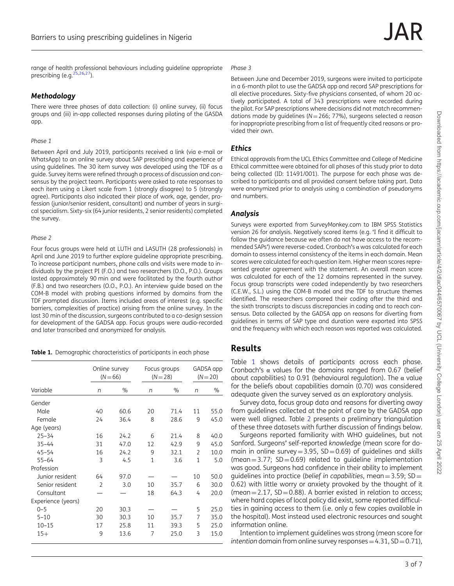<span id="page-2-0"></span>range of health professional behaviours including guideline appropriate prescribing (e.g.<sup>25,26,27</sup>).

#### Methodology

There were three phases of data collection: (i) online survey, (ii) focus groups and (iii) in-app collected responses during piloting of the GASDA app.

#### Phase 1

Between April and July 2019, participants received a link (via e-mail or WhatsApp) to an online survey about SAP prescribing and experience of using guidelines. The 30 item survey was developed using the TDF as a guide. Survey items were refined through a process of discussion and consensus by the project team. Participants were asked to rate responses to each item using a Likert scale from 1 (strongly disagree) to 5 (strongly agree). Participants also indicated their place of work, age, gender, profession (junior/senior resident, consultant) and number of years in surgical specialism. Sixty-six (64 junior residents, 2 senior residents) completed the survey.

#### Phase 2

Four focus groups were held at LUTH and LASUTH (28 professionals) in April and June 2019 to further explore guideline appropriate prescribing. To increase participant numbers, phone calls and visits were made to individuals by the project PI (F.O.) and two researchers (O.O., P.O.). Groups lasted approximately 90 min and were facilitated by the fourth author (F.B.) and two researchers (O.O., P.O.). An interview guide based on the COM-B model with probing questions informed by domains from the TDF prompted discussion. Items included areas of interest (e.g. specific barriers, complexities of practice) arising from the online survey. In the last 30 min of the discussion, surgeons contributed to a co-design session for development of the GADSA app. Focus groups were audio-recorded and later transcribed and anonymized for analysis.

Table 1. Demographic characteristics of participants in each phase

|                    |                          | Online survey<br>$(N=66)$ |    | Focus groups<br>$(N=28)$ |                          | GADSA app<br>$(N = 20)$ |
|--------------------|--------------------------|---------------------------|----|--------------------------|--------------------------|-------------------------|
| Variable           | n                        | $\%$                      | n  | $\%$                     | n                        | $\%$                    |
| Gender             |                          |                           |    |                          |                          |                         |
| Male               | 40                       | 60.6                      | 20 | 71.4                     | 11                       | 55.0                    |
| Female             | 24                       | 36.4                      | 8  | 28.6                     | 9                        | 45.0                    |
| Age (years)        |                          |                           |    |                          |                          |                         |
| $25 - 34$          | 16                       | 74.7                      | 6  | 21.4                     | 8                        | 40.0                    |
| $35 - 44$          | 31                       | 47.0                      | 12 | 42.9                     | 9                        | 45.0                    |
| $45 - 54$          | 16                       | 24.2                      | 9  | 32.1                     | $\overline{2}$           | 10.0                    |
| $55 - 64$          | 3                        | 4.5                       | 1  | 3.6                      | 1                        | 5.0                     |
| Profession         |                          |                           |    |                          |                          |                         |
| Junior resident    | 64                       | 97.0                      |    |                          | 10                       | 50.0                    |
| Senior resident    | $\overline{\phantom{0}}$ | 3.0                       | 10 | 35.7                     | 6                        | 30.0                    |
| Consultant         |                          |                           | 18 | 64.3                     | 4                        | 20.0                    |
| Experience (years) |                          |                           |    |                          |                          |                         |
| $0 - 5$            | 20                       | 30.3                      |    |                          | 5                        | 25.0                    |
| $5 - 10$           | 30                       | 30.3                      | 10 | 35.7                     | 7                        | 35.0                    |
| $10 - 15$          | 17                       | 25.8                      | 11 | 39.3                     | 5                        | 25.0                    |
| $15+$              | 9                        | 13.6                      | 7  | 25.0                     | $\overline{\mathcal{E}}$ | 15.0                    |

#### Phase 3

Between June and December 2019, surgeons were invited to participate in a 6-month pilot to use the GADSA app and record SAP prescriptions for all elective procedures. Sixty-five physicians consented, of whom 20 actively participated. A total of 343 prescriptions were recorded during the pilot. For SAP prescriptions where decisions did not match recommendations made by quidelines ( $N=266$ ; 77%), surgeons selected a reason for inappropriate prescribing from a list of frequently cited reasons or provided their own.

#### **Ethics**

Ethical approvals from the UCL Ethics Committee and College of Medicine Ethical committee were obtained for all phases of this study prior to data being collected (ID: 11491/001). The purpose for each phase was described to participants and all provided consent before taking part. Data were anonymized prior to analysis using a combination of pseudonyms and numbers.

#### Analysis

Surveys were exported from SurveyMonkey.com to IBM SPSS Statistics version 26 for analysis. Negatively scored items (e.g. 'I find it difficult to follow the guidance because we often do not have access to the recommended SAPs') were reverse-coded. Cronbach's α was calculated for each domain to assess internal consistency of the items in each domain. Mean scores were calculated for each question item. Higher mean scores represented greater agreement with the statement. An overall mean score was calculated for each of the 12 domains represented in the survey. Focus group transcripts were coded independently by two researchers (C.E.W., S.L.) using the COM-B model and the TDF to structure themes identified. The researchers compared their coding after the third and the sixth transcripts to discuss discrepancies in coding and to reach consensus. Data collected by the GADSA app on reasons for diverting from guidelines in terms of SAP type and duration were exported into SPSS and the frequency with which each reason was reported was calculated.

## Results

Table 1 shows details of participants across each phase. Cronbach's  $\alpha$  values for the domains ranged from 0.67 (belief about capabilities) to 0.91 (behavioural regulation). The  $\alpha$  value for the beliefs about capabilities domain (0.70) was considered adequate given the survey served as an exploratory analysis.

Survey data, focus group data and reasons for diverting away from guidelines collected at the point of care by the GADSA app were well aligned. Table [2](#page-3-0) presents a preliminary triangulation of these three datasets with further discussion of findings below.

Surgeons reported familiarity with WHO guidelines, but not Sanford. Surgeons' self-reported knowledge (mean score for domain in online survey =  $3.95$ , SD = 0.69) of guidelines and skills (mean =  $3.77$ ; SD = 0.69) related to guideline implementation was good. Surgeons had confidence in their ability to implement quidelines into practice (belief in capabilities, mean =  $3.59$ ; SD = 0.62) with little worry or anxiety provoked by the thought of it (mean =  $2.17$ , SD = 0.88). A barrier existed in relation to access; where hard copies of local policy did exist, some reported difficulties in gaining access to them (i.e. only a few copies available in the hospital). Most instead used electronic resources and sought information online.

Intention to implement guidelines was strong (mean score for intention domain from online survey responses =  $4.31$ , SD = 0.71),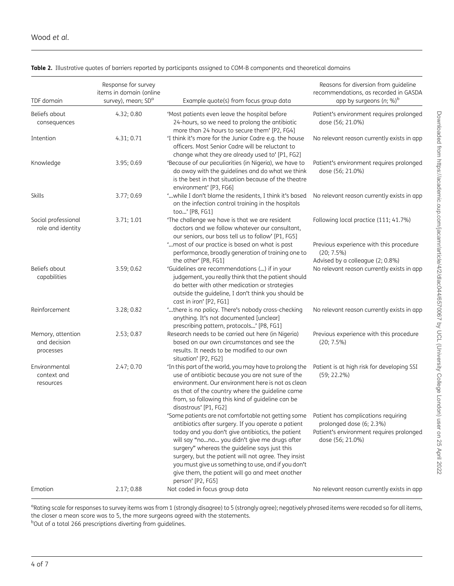| TDF domain                                     | Response for survey<br>items in domain (online<br>survey), mean; SD <sup>a</sup> | Example quote(s) from focus group data                                                                                                                                                                                                                                                                                                                                                                                                                   | Reasons for diversion from guideline<br>recommendations, as recorded in GASDA<br>app by surgeons $(n; \%)^b$                    |
|------------------------------------------------|----------------------------------------------------------------------------------|----------------------------------------------------------------------------------------------------------------------------------------------------------------------------------------------------------------------------------------------------------------------------------------------------------------------------------------------------------------------------------------------------------------------------------------------------------|---------------------------------------------------------------------------------------------------------------------------------|
| Beliefs about<br>consequences                  | 4.32; 0.80                                                                       | 'Most patients even leave the hospital before<br>24-hours, so we need to prolong the antibiotic<br>more than 24 hours to secure them' [P2, FG4]                                                                                                                                                                                                                                                                                                          | Patient's environment requires prolonged<br>dose (56; 21.0%)                                                                    |
| Intention                                      | 4.31; 0.71                                                                       | 'I think it's more for the Junior Cadre e.g. the house<br>officers. Most Senior Cadre will be reluctant to<br>change what they are already used to' [P1, FG2]                                                                                                                                                                                                                                                                                            | No relevant reason currently exists in app                                                                                      |
| Knowledge                                      | 3.95; 0.69                                                                       | 'Because of our peculiarities (in Nigeria), we have to<br>do away with the guidelines and do what we think<br>is the best in that situation because of the theatre<br>environment' [P3, FG6]                                                                                                                                                                                                                                                             | Patient's environment requires prolonged<br>dose (56; 21.0%)                                                                    |
| <b>Skills</b>                                  | 3.77; 0.69                                                                       | 'while I don't blame the residents, I think it's based<br>on the infection control training in the hospitals<br>too' [P8, FG1]                                                                                                                                                                                                                                                                                                                           | No relevant reason currently exists in app                                                                                      |
| Social professional<br>role and identity       | 3.71; 1.01                                                                       | 'The challenge we have is that we are resident<br>doctors and we follow whatever our consultant,<br>our seniors, our boss tell us to follow' [P1, FG5]                                                                                                                                                                                                                                                                                                   | Following local practice (111; 41.7%)                                                                                           |
|                                                |                                                                                  | " most of our practice is based on what is past<br>performance, broadly generation of training one to<br>the other' [P8, FG1]                                                                                                                                                                                                                                                                                                                            | Previous experience with this procedure<br>(20; 7.5%)<br>Advised by a colleague (2; 0.8%)                                       |
| Beliefs about<br>capabilities                  | 3.59; 0.62                                                                       | 'Guidelines are recommendations () if in your<br>judgement, you really think that the patient should<br>do better with other medication or strategies<br>outside the guideline, I don't think you should be<br>cast in iron' [P2, FG1]                                                                                                                                                                                                                   | No relevant reason currently exists in app                                                                                      |
| Reinforcement                                  | 3.28; 0.82                                                                       | "there is no policy. There's nobody cross-checking<br>anything. It's not documented [unclear]<br>prescribing pattern, protocols' [P8, FG1]                                                                                                                                                                                                                                                                                                               | No relevant reason currently exists in app                                                                                      |
| Memory, attention<br>and decision<br>processes | 2.53; 0.87                                                                       | Research needs to be carried out here (in Nigeria)<br>based on our own circumstances and see the<br>results. It needs to be modified to our own<br>situation' [P2, FG2]                                                                                                                                                                                                                                                                                  | Previous experience with this procedure<br>(20; 7.5%)                                                                           |
| Environmental<br>context and<br>resources      | 2.47; 0.70                                                                       | 'In this part of the world, you may have to prolong the<br>use of antibiotic because you are not sure of the<br>environment. Our environment here is not as clean<br>as that of the country where the guideline came<br>from, so following this kind of guideline can be<br>disastrous' [P1, FG2]                                                                                                                                                        | Patient is at high risk for developing SSI<br>$(59; 22.2\%)$                                                                    |
|                                                |                                                                                  | 'Some patients are not comfortable not getting some<br>antibiotics after surgery. If you operate a patient<br>today and you don't give antibiotics, the patient<br>will say "nono you didn't give me drugs after<br>surgery" whereas the guideline says just this<br>surgery, but the patient will not agree. They insist<br>you must give us something to use, and if you don't<br>give them, the patient will go and meet another<br>person' [P2, FG5] | Patient has complications requiring<br>prolonged dose (6; 2.3%)<br>Patient's environment requires prolonged<br>dose (56; 21.0%) |
| Emotion                                        | 2.17; 0.88                                                                       | Not coded in focus group data                                                                                                                                                                                                                                                                                                                                                                                                                            | No relevant reason currently exists in app                                                                                      |

<span id="page-3-0"></span>Table 2. Illustrative quotes of barriers reported by participants assigned to COM-B components and theoretical domains

<sup>a</sup>Rating scale for responses to survey items was from 1 (strongly disagree) to 5 (strongly agree); negatively phrased items were recoded so for all items, the closer a mean score was to 5, the more surgeons agreed with the statements.

<sup>b</sup>Out of a total 266 prescriptions diverting from guidelines.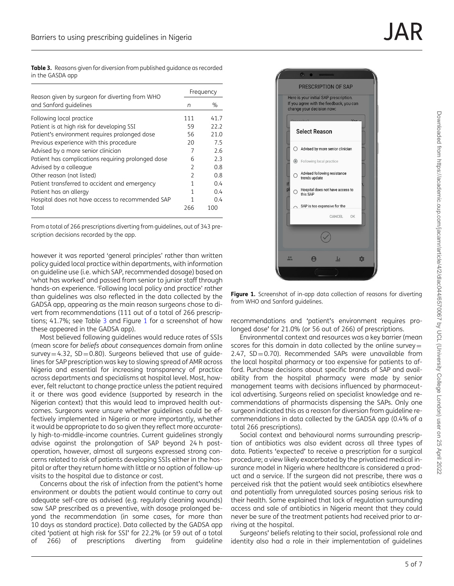Table 3. Reasons given for diversion from published guidance as recorded in the GASDA app

|                                                                          | Frequency                |      |
|--------------------------------------------------------------------------|--------------------------|------|
| Reason given by surgeon for diverting from WHO<br>and Sanford guidelines |                          | $\%$ |
| Following local practice                                                 | 111                      | 41.7 |
| Patient is at high risk for developing SSI                               | 59                       | 22.2 |
| Patient's environment requires prolonged dose                            | 56                       | 21.0 |
| Previous experience with this procedure                                  | 20                       | 7.5  |
| Advised by a more senior clinician                                       | 7                        | 2.6  |
| Patient has complications requiring prolonged dose                       | 6                        | 2.3  |
| Advised by a colleague                                                   | C                        | 0.8  |
| Other reason (not listed)                                                | $\overline{\phantom{a}}$ | 0.8  |
| Patient transferred to accident and emergency                            | 1                        | 0.4  |
| Patient has an allergy                                                   | 1                        | 0.4  |
| Hospital does not have access to recommended SAP                         | 1                        | 0.4  |
| Total                                                                    | 266                      | 100  |

From a total of 266 prescriptions diverting from guidelines, out of 343 prescription decisions recorded by the app.

however it was reported 'general principles' rather than written policy guided local practice within departments, with information on guideline use (i.e. which SAP, recommended dosage) based on 'what has worked' and passed from senior to junior staff through hands-on experience. 'Following local policy and practice' rather than guidelines was also reflected in the data collected by the GADSA app, appearing as the main reason surgeons chose to divert from recommendations (111 out of a total of 266 prescriptions; 41.7%; see Table 3 and Figure 1 for a screenshot of how these appeared in the GADSA app).

Most believed following guidelines would reduce rates of SSIs (mean score for beliefs about consequences domain from online survey  $=4.32$ , SD  $=0.80$ ). Surgeons believed that use of quidelines for SAP prescription was key to slowing spread of AMR across Nigeria and essential for increasing transparency of practice across departments and specialisms at hospital level. Most, however, felt reluctant to change practice unless the patient required it or there was good evidence (supported by research in the Nigerian context) that this would lead to improved health outcomes. Surgeons were unsure whether guidelines could be effectively implemented in Nigeria or more importantly, whether it would be appropriate to do so given they reflect more accurately high-to-middle-income countries. Current guidelines strongly advise against the prolongation of SAP beyond 24 h postoperation, however, almost all surgeons expressed strong concerns related to risk of patients developing SSIs either in the hospital or after they return home with little or no option of follow-up visits to the hospital due to distance or cost.

Concerns about the risk of infection from the patient's home environment or doubts the patient would continue to carry out adequate self-care as advised (e.g. regularly cleaning wounds) saw SAP prescribed as a preventive, with dosage prolonged beyond the recommendation (in some cases, for more than 10 days as standard practice). Data collected by the GADSA app cited 'patient at high risk for SSI' for 22.2% (or 59 out of a total of 266) of prescriptions diverting from guideline



Figure 1. Screenshot of in-app data collection of reasons for diverting from WHO and Sanford guidelines.

recommendations and 'patient's environment requires prolonged dose' for 21.0% (or 56 out of 266) of prescriptions.

Environmental context and resources was a key barrier (mean scores for this domain in data collected by the online survey=  $2.47$ , SD=0.70). Recommended SAPs were unavailable from the local hospital pharmacy or too expensive for patients to afford. Purchase decisions about specific brands of SAP and availability from the hospital pharmacy were made by senior management teams with decisions influenced by pharmaceutical advertising. Surgeons relied on specialist knowledge and recommendations of pharmacists dispensing the SAPs. Only one surgeon indicated this as a reason for diversion from guideline recommendations in data collected by the GADSA app (0.4% of a total 266 prescriptions).

Social context and behavioural norms surrounding prescription of antibiotics was also evident across all three types of data. Patients 'expected' to receive a prescription for a surgical procedure; a view likely exacerbated by the privatized medical insurance model in Nigeria where healthcare is considered a product and a service. If the surgeon did not prescribe, there was a perceived risk that the patient would seek antibiotics elsewhere and potentially from unregulated sources posing serious risk to their health. Some explained that lack of regulation surrounding access and sale of antibiotics in Nigeria meant that they could never be sure of the treatment patients had received prior to arriving at the hospital.

Surgeons' beliefs relating to their social, professional role and identity also had a role in their implementation of guidelines

IД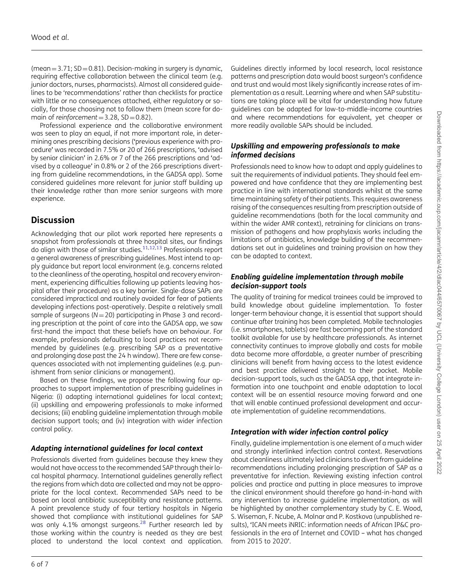$(mean = 3.71; SD = 0.81)$ . Decision-making in surgery is dynamic, requiring effective collaboration between the clinical team (e.g. junior doctors, nurses, pharmacists). Almost all considered guidelines to be 'recommendations' rather than checklists for practice with little or no consequences attached, either regulatory or socially, for those choosing not to follow them (mean score for domain of reinforcement =  $3.28$ , SD =  $0.82$ ).

Professional experience and the collaborative environment was seen to play an equal, if not more important role, in determining ones prescribing decisions ('previous experience with procedure' was recorded in 7.5% or 20 of 266 prescriptions, 'advised by senior clinician' in 2.6% or 7 of the 266 prescriptions and 'advised by a colleague' in 0.8% or 2 of the 266 prescriptions diverting from guideline recommendations, in the GADSA app). Some considered guidelines more relevant for junior staff building up their knowledge rather than more senior surgeons with more experience.

# **Discussion**

Acknowledging that our pilot work reported here represents a snapshot from professionals at three hospital sites, our findings do align with those of similar studies. $11,12,13$  $11,12,13$  Professionals report a general awareness of prescribing guidelines. Most intend to apply guidance but report local environment (e.g. concerns related to the cleanliness of the operating, hospital and recovery environment, experiencing difficulties following up patients leaving hospital after their procedure) as a key barrier. Single-dose SAPs are considered impractical and routinely avoided for fear of patients developing infections post-operatively. Despite a relatively small sample of surgeons ( $N=20$ ) participating in Phase 3 and recording prescription at the point of care into the GADSA app, we saw first-hand the impact that these beliefs have on behaviour. For example, professionals defaulting to local practices not recommended by guidelines (e.g. prescribing SAP as a preventative and prolonging dose past the 24 h window). There are few consequences associated with not implementing guidelines (e.g. punishment from senior clinicians or management).

Based on these findings, we propose the following four approaches to support implementation of prescribing guidelines in Nigeria: (i) adapting international guidelines for local context; (ii) upskilling and empowering professionals to make informed decisions; (iii) enabling guideline implementation through mobile decision support tools; and (iv) integration with wider infection control policy.

#### Adapting international guidelines for local context

<span id="page-5-0"></span>Professionals diverted from guidelines because they knew they would not have access to the recommended SAP through their local hospital pharmacy. International guidelines generally reflect the regions from which data are collected and may not be appropriate for the local context. Recommended SAPs need to be based on local antibiotic susceptibility and resistance patterns. A point prevalence study of four tertiary hospitals in Nigeria showed that compliance with institutional guidelines for SAP was only 4.1% amongst surgeons.<sup>[28](#page-6-0)</sup> Further research led by those working within the country is needed as they are best placed to understand the local context and application.

Guidelines directly informed by local research, local resistance patterns and prescription data would boost surgeon's confidence and trust and would most likely significantly increase rates of implementation as a result. Learning where and when SAP substitutions are taking place will be vital for understanding how future guidelines can be adapted for low-to-middle-income countries and where recommendations for equivalent, yet cheaper or more readily available SAPs should be included.

#### Upskilling and empowering professionals to make informed decisions

Professionals need to know how to adapt and apply guidelines to suit the requirements of individual patients. They should feel empowered and have confidence that they are implementing best practice in line with international standards whilst at the same time maintaining safety of their patients. This requires awareness raising of the consequences resulting from prescription outside of guideline recommendations (both for the local community and within the wider AMR context), retraining for clinicians on transmission of pathogens and how prophylaxis works including the limitations of antibiotics, knowledge building of the recommendations set out in guidelines and training provision on how they can be adapted to context.

#### Enabling guideline implementation through mobile decision-support tools

The quality of training for medical trainees could be improved to build knowledge about guideline implementation. To foster longer-term behaviour change, it is essential that support should continue after training has been completed. Mobile technologies (i.e. smartphones, tablets) are fast becoming part of the standard toolkit available for use by healthcare professionals. As internet connectivity continues to improve globally and costs for mobile data become more affordable, a greater number of prescribing clinicians will benefit from having access to the latest evidence and best practice delivered straight to their pocket. Mobile decision-support tools, such as the GADSA app, that integrate information into one touchpoint and enable adaptation to local context will be an essential resource moving forward and one that will enable continued professional development and accurate implementation of guideline recommendations.

#### Integration with wider infection control policy

Finally, guideline implementation is one element of a much wider and strongly interlinked infection control context. Reservations about cleanliness ultimately led clinicians to divert from guideline recommendations including prolonging prescription of SAP as a preventative for infection. Reviewing existing infection control policies and practice and putting in place measures to improve the clinical environment should therefore go hand-in-hand with any intervention to increase guideline implementation, as will be highlighted by another complementary study by C. E. Wood, S. Wiseman, F. Ncube, A. Molnar and P. Kostkova (unpublished results), 'ICAN meets iNRIC: information needs of African IP&C professionals in the era of Internet and COVID – what has changed from 2015 to 2020'.